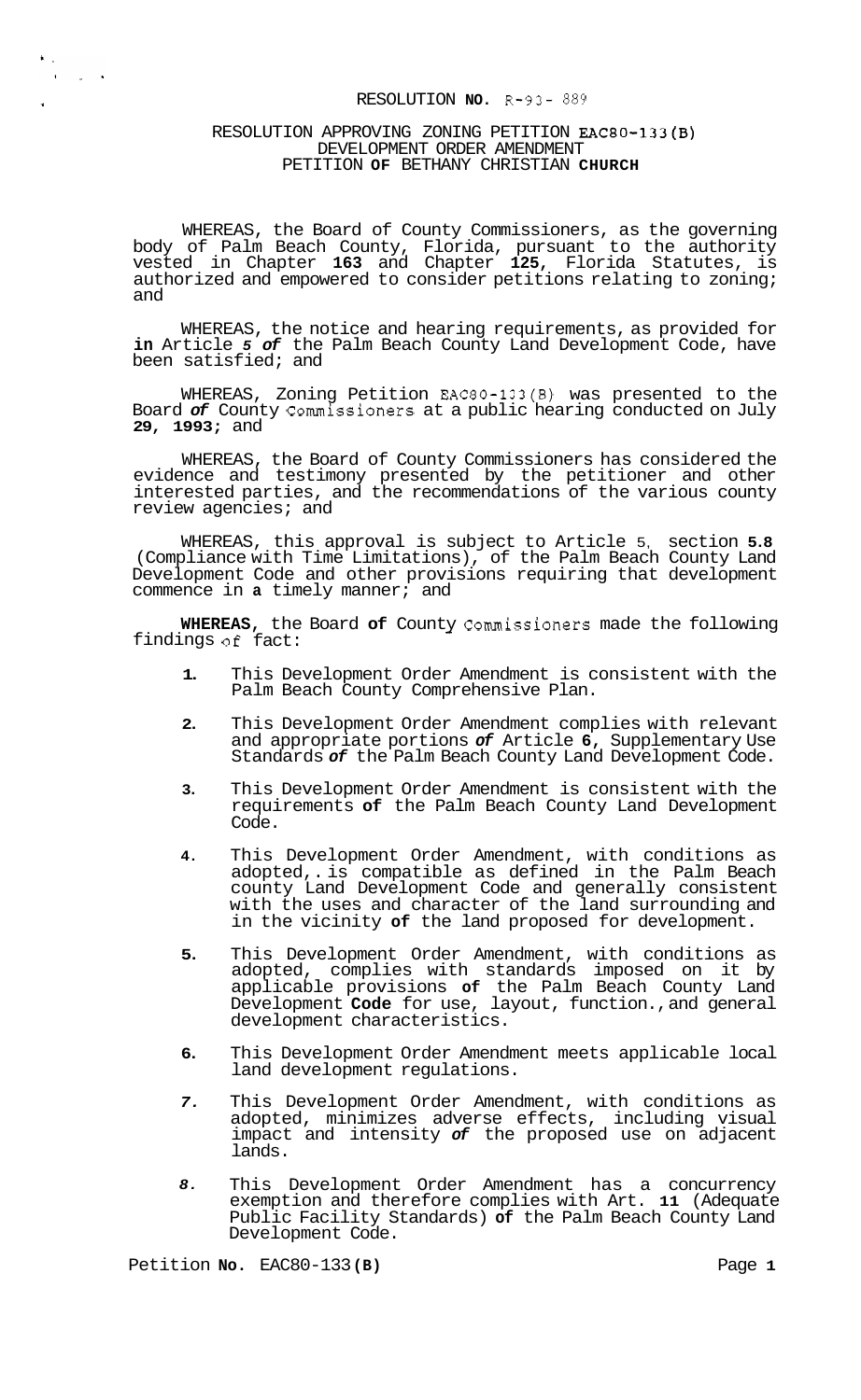# RESOLUTION **NO.** R-93- 889

#### RESOLUTION APPROVING ZONING PETITION EAC80-133(B) DEVELOPMENT ORDER AMENDMENT PETITION **OF** BETHANY CHRISTIAN **CHURCH**

 $\begin{aligned} \mathbf{X}_{\text{out}}^{\text{in}} & = \\ \mathbf{X}_{\text{out}}^{\text{out}} & = \mathbf{X}_{\text{out}}^{\text{out}} \mathbf{X}_{\text{out}}^{\text{out}} \end{aligned}$ 

WHEREAS, the Board of County Commissioners, as the governing body of Palm Beach County, Florida, pursuant to the authority vested in Chapter **163** and Chapter **125,** Florida Statutes, is authorized and empowered to consider petitions relating to zoning; and

WHEREAS, the notice and hearing requirements, as provided for **in** Article *5 of* the Palm Beach County Land Development Code, have been satisfied; and

WHEREAS, Zoning Petition EAC80-133(B) was presented to the Board *of* County Commissioners at a public hearing conducted on July **29, 1993;** and

WHEREAS, the Board of County Commissioners has considered the evidence and testimony presented by the petitioner and other interested parties, and the recommendations of the various county review agencies; and

WHEREAS, this approval is subject to Article 5, section **5.8**  (Compliance with Time Limitations), of the Palm Beach County Land Development Code and other provisions requiring that development commence in **a** timely manner; and

**WHEREAS,** the Board **of** County Commissioners made the following **of** fact: findings of fact:

- **1.**  This Development Order Amendment is consistent with the Palm Beach County Comprehensive Plan.
- **2.**  This Development Order Amendment complies with relevant and appropriate portions *of* Article **6,** Supplementary Use Standards *of* the Palm Beach County Land Development Code.
- **3.**  This Development Order Amendment is consistent with the requirements **of** the Palm Beach County Land Development Code.
- **4.**  This Development Order Amendment, with conditions as adopted,. is compatible as defined in the Palm Beach county Land Development Code and generally consistent with the uses and character of the land surrounding and in the vicinity **of** the land proposed for development.
- **5.**  This Development Order Amendment, with conditions as adopted, complies with standards imposed on it by applicable provisions **of** the Palm Beach County Land Development **Code** for use, layout, function., and general development characteristics.
- **6.**  This Development Order Amendment meets applicable local land development regulations.
- *7.*  This Development Order Amendment, with conditions as adopted, minimizes adverse effects, including visual impact and intensity *of* the proposed use on adjacent lands.
- *8.*  This Development Order Amendment has a concurrency exemption and therefore complies with Art. **11** (Adequate Public Facility Standards) **of** the Palm Beach County Land Development Code.

Petition **No.** EAC80-133 **(B)** Page **1**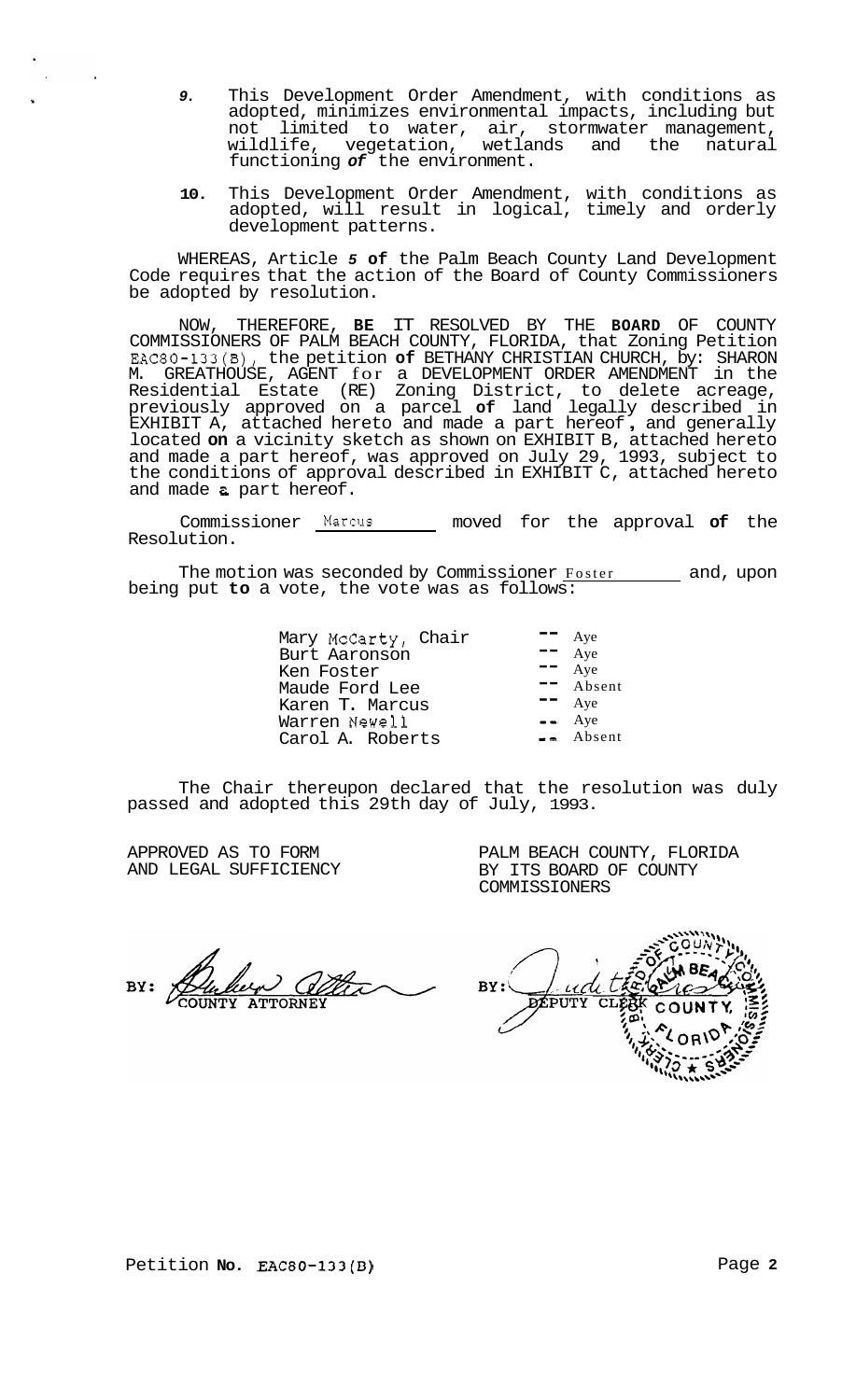- *9.* This Development Order Amendment, with conditions as adopted, minimizes environmental impacts, including but not limited to water, air, stormwater management, wildlife, vegetation, wetlands and the natural functioning *of* the environment.
- **10.** This Development Order Amendment, with conditions as adopted, will result in logical, timely and orderly development patterns.

WHEREAS, Article *5* **of** the Palm Beach County Land Development Code requires that the action of the Board of County Commissioners be adopted by resolution.

NOW, THEREFORE, **BE** IT RESOLVED BY THE **BOARD** OF COUNTY COMMISSIONERS OF PALM BEACH COUNTY, FLORIDA, that Zoning Petition EAC80-133(B), the petition **of** BETHANY CHRISTIAN CHURCH, by: SHARON M. GREATHOUSE, AGENT for a DEVELOPMENT ORDER AMENDMENT in the Residential Estate (RE) Zoning District, to delete acreage, previously approved on a parcel **of** land legally described in EXHIBIT A, attached hereto and made a part hereof , and generally located **on** a vicinity sketch as shown on EXHIBIT B, attached hereto and made a part hereof, was approved on July 29, 1993, subject to the conditions of approval described in EXHIBIT C, attached hereto and made *2* part hereof.

Commissioner **Marcus** moved for the approval **of** the Resolution.

The motion was seconded by Commissioner Foster and, upon being put **to** a vote, the vote was as follows:

> Mary McCarty, Chair -- Aye Burt Aaronson -- Aye Ken Foster -- Aye Maude Ford Lee  $\overline{z}$  Absorb T. Marcus Karen T. Marcus **--** Aye<br>Warren Newell -- Aye Warren Newell -- Aye<br>Carol A Roberts -- Absent Carol A. Roberts

The Chair thereupon declared that the resolution was duly passed and adopted this 29th day of July, 1993.

APPROVED AS TO FORM AND LEGAL SUFFICIENCY PALM BEACH COUNTY, FLORIDA BY ITS BOARD OF COUNTY COMMISSIONERS

 $BY:$ <u>udi</u> DEPUTY  $\overline{\text{cl}}$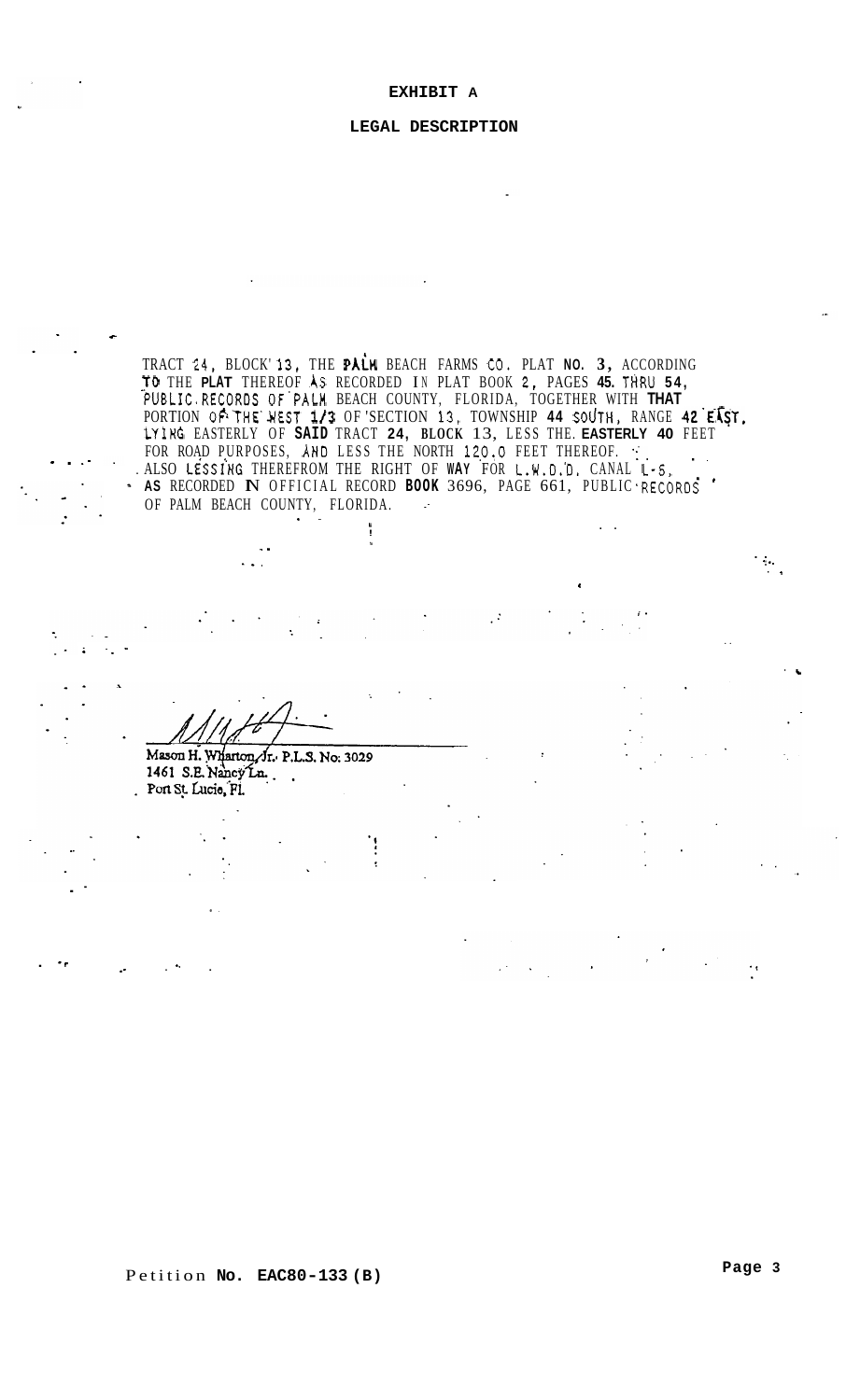#### EXHIBIT A

# LEGAL DESCRIPTION

TRACT 24, BLOCK'13, THE PALM BEACH FARMS CO. PLAT NO. 3, ACCORDING<br>
TO THE PLAT THEREOF AS RECORDED IN PLAT BOOK 2, PAGES 45. THRU 54,<br>
PUBLIC.RECORDS OF PALM BEACH COUNTY, FLORIDA, TOGETHER WITH **THAT**<br>
PORTION OF THE WES . ALSO LESSING THEREFROM THE RIGHT OF WAY FOR L.W.D.D. CANAL L-S. · AS RECORDED N OFFICIAL RECORD BOOK 3696, PAGE 661, PUBLIC RECORDS OF PALM BEACH COUNTY, FLORIDA.

 $\ddot{\phantom{a}}$ 

Mason H. Wharton, Jr. P.L.S. No. 3029 1461 S.E. Nancy Ln. i. Port St. Lucie, Fl.

Petition No. EAC80-133 (B)

Page 3

 $\mathcal{O}_\mathcal{I}$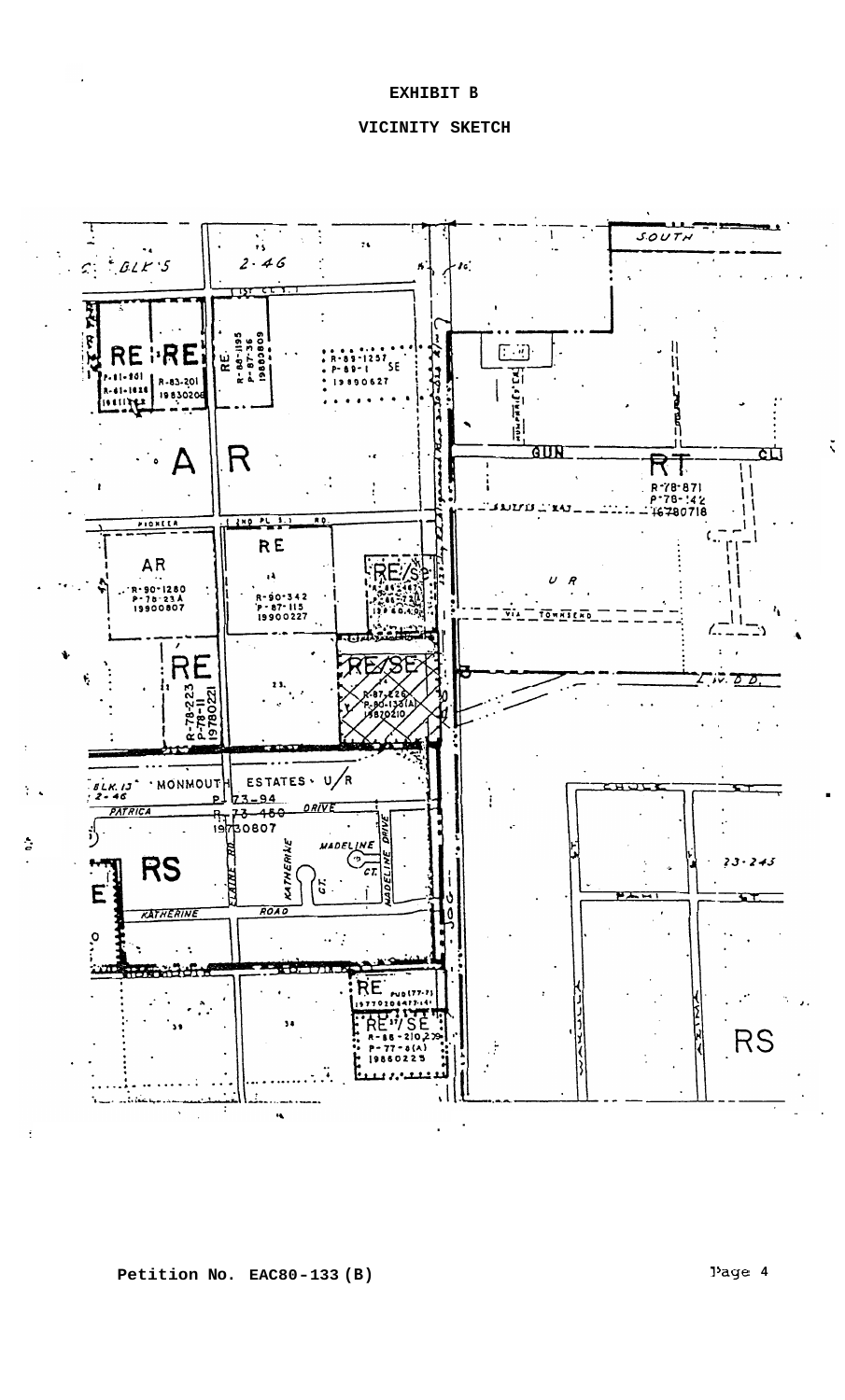EXHIBIT B

# VICINITY SKETCH

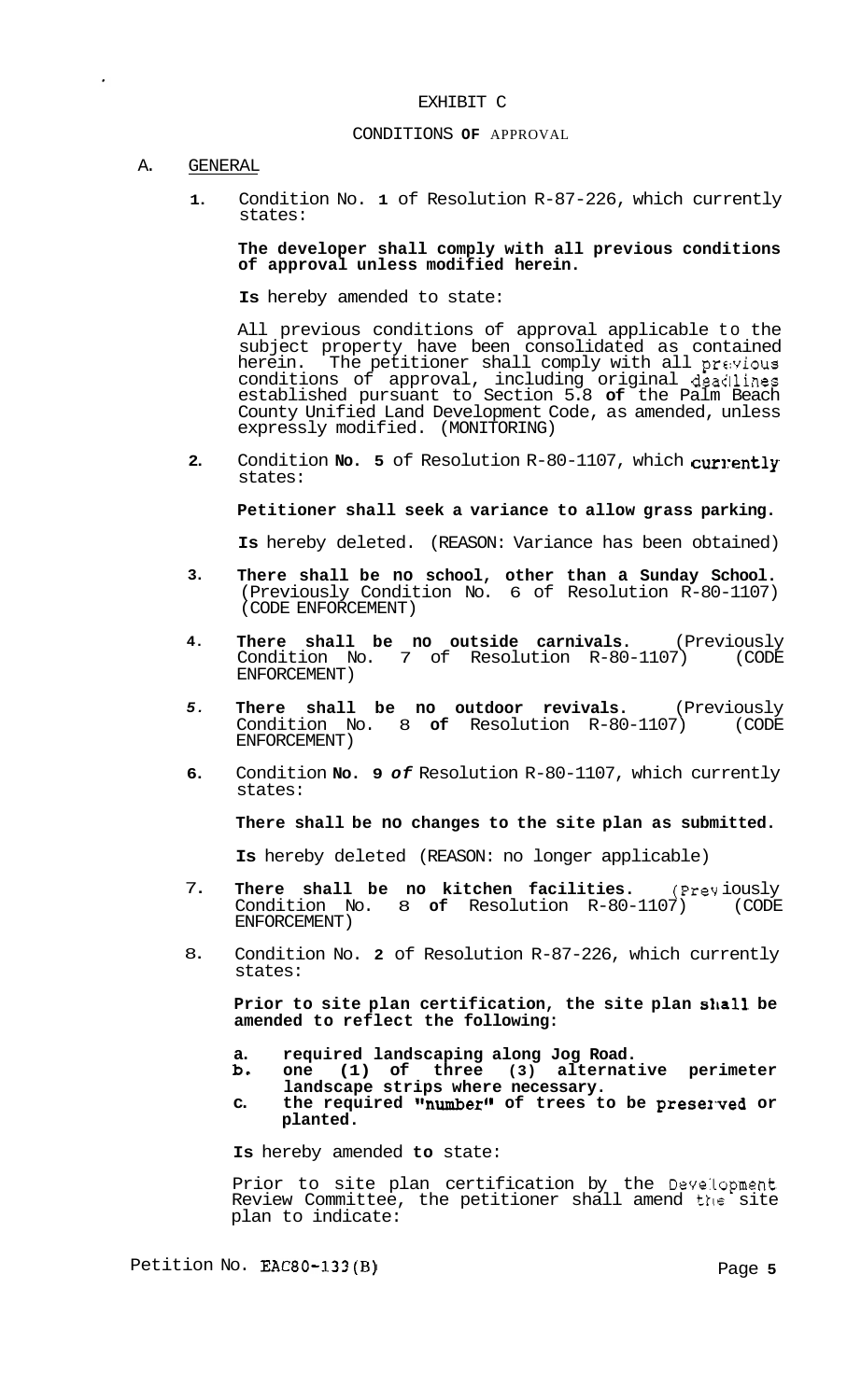## EXHIBIT C

#### CONDITIONS **OF** APPROVAL

### A. GENERAL

**1.**  Condition No. **1** of Resolution R-87-226, which currently states:

### **The developer shall comply with all previous conditions of approval unless modified herein.**

**Is** hereby amended to state:

All previous conditions of approval applicable to the subject property have been consolidated as contained herein. The petitioner shall comply with all previous conditions of approval, including original deadlines established pursuant to Section 5.8 **of** the Palm Beach County Unified Land Development Code, as amended, unless expressly modified. (MONITORING)

**2.**  Condition **No. 5** of Resolution R-80-1107, which currently states:

**Petitioner shall seek a variance to allow grass parking.** 

**Is** hereby deleted. (REASON: Variance has been obtained)

- **3. There shall be no school, other than a Sunday School.**  (Previously Condition No. 6 of Resolution R-80-1107) (CODE ENFORCEMENT)
- **4. There shall be no outside carnivals.** (Previously Condition No. 7 of Resolution R-80-1107) (CODE ENFORCEMENT)
- *5.*  **There shall be no outdoor revivals.** (Previously Condition No. 8 **of** Resolution R-80-1107) (CODE ENFORCEMENT)
- **6.**  Condition **No. 9** *of* Resolution R-80-1107, which currently states:

**There shall be no changes to the site plan as submitted.** 

**Is** hereby deleted (REASON: no longer applicable)

- 7. **There shall be no kitchen facilities.** (Prev iously Condition No. 8 **of** Resolution R-80-1107) (CODE ENFORCEMENT)
- 8. Condition No. **2** of Resolution R-87-226, which currently states:

**Prior to site plan certification, the site plan shall be amended to reflect the following:** 

- **a. required landscaping along Jog Road.**
- **b. one (1) of three (3) alternative perimeter landscape strips where necessary.**
- c. the required "number" of trees to be preserved or **planted.**

**Is** hereby amended **to** state:

Prior to site plan certification by the Deve:Lopment Review Committee, the petitioner shall amend the site plan to indicate:

Petition No. **EAC80-133(B)** Page 5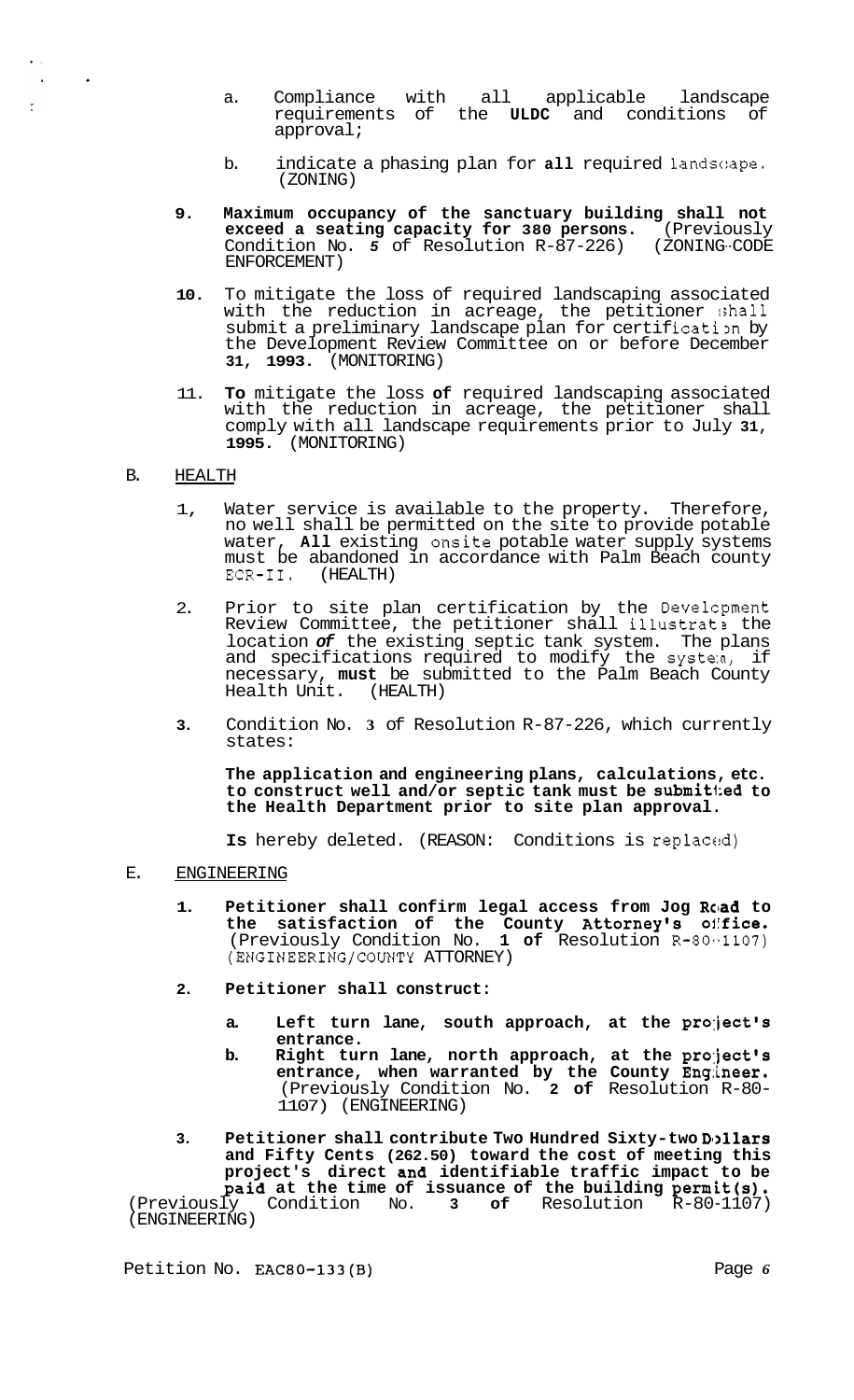- a. Compliance with all applicable landscape requirements of the **ULDC** and conditions of approval;
- b. indicate a phasing plan for **all** required 1andsc:ape. (ZONING)
- **9. Maximum occupancy of the sanctuary building shall not exceed a seating capacity for 380 persons.** (Previously Condition No. 5 of Resolution R-87-226) (ZONING-CODE ENFORCEMENT)
- **10.** To mitigate the loss of required landscaping associated with the reduction in acreage, the petitioner shall submit a preliminary landscape plan for certification by the Development Review Committee on or before December **31, 1993.** (MONITORING)
- 11. **To** mitigate the loss **of** required landscaping associated with the reduction in acreage, the petitioner shall comply with all landscape requirements prior to July **31, 1995.** (MONITORING)

### B. HEALTH

 $\ddot{\phantom{0}}$ 

 $\frac{1}{2}$ 

- 1, Water service is available to the property. Therefore, no well shall be permitted on the site to provide potable water, **All** existing onsite potable water supply systems must be abandoned in accordance with Palm Beach county ECR-11. (HEALTH)
- 2. Prior to site plan certification by the Develcpment Review Committee, the petitioner shall illustrat? the location *of* the existing septic tank system. The plans and specifications required to modify the system, if necessary, **must** be submitted to the Palm Beach County Health Unit. (HEALTH)
- **3.** Condition No. **3** of Resolution R-87-226, which currently states:

**The application and engineering plans, calculations, etc. to construct well and/or septic tank must be submit1:ed to the Health Department prior to site plan approval.** 

Is hereby deleted. (REASON: Conditions is replaced)

# E. ENGINEERING

- **1. Petitioner shall confirm legal access from Jog Road to the satisfaction of the County Attorney's office.**  (Previously Condition No. **1 of** Resolution R-80-1107) (ENGINEERING/COUNTY ATTORNEY)
- **2. Petitioner shall construct:** 
	- **a. Left turn lane, south approach, at the project's entrance.**
	- **b. Right turn lane, north approach, at the pro:ject's entrance, when warranted by the County Engineer.**  (Previously Condition No. **2 of** Resolution R-80- 1107) (ENGINEERING)
- 3. Petitioner shall contribute Two Hundred Sixty-two Dollars **and Fifty Cents (262.50) toward the cost of meeting this project's direct and identifiable traffic impact to be paid at the time of issuance of the building permit(s).**<br>(Previously Condition No. 3 of Resolution R-80-1107) Condition No. **3 of** Resolution R-80-1107) (ENGINEERING)